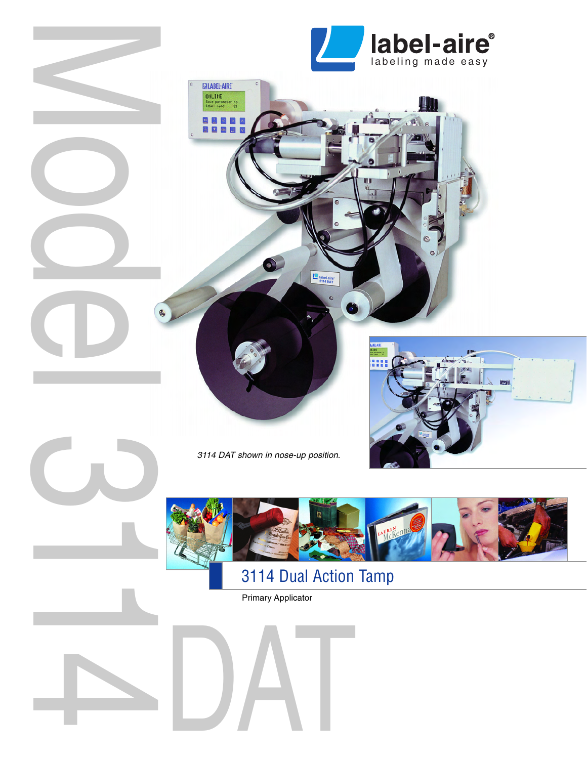

ЩI



3114 DAT shown in nose-up position.

EJLABEL-AIRE **ONLINE**<br>Sove para

> $\blacksquare$ œ

Model 3114



581

# 3114 Dual Action Tamp

label-aire

 $\bullet$ 

Primary Applicator

DAT